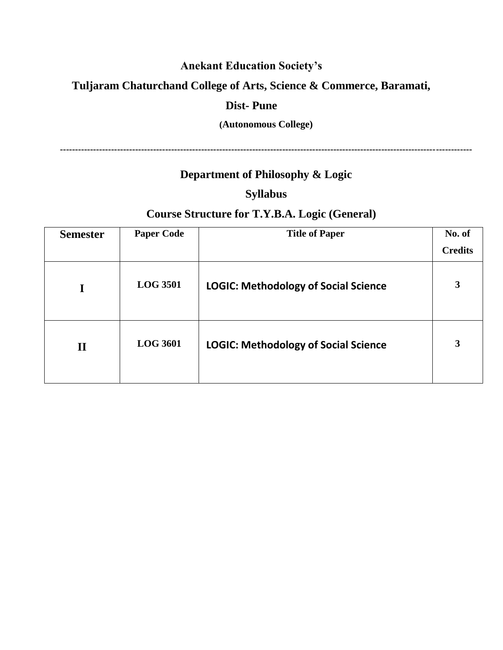# **Anekant Education Society's**

## **Tuljaram Chaturchand College of Arts, Science & Commerce, Baramati,**

## **Dist- Pune**

### **(Autonomous College)**

**-----------------------------------------------------------------------------------------------------------------------------------------**

# **Department of Philosophy & Logic**

### **Syllabus**

# **Course Structure for T.Y.B.A. Logic (General)**

| <b>Semester</b> | <b>Paper Code</b> | <b>Title of Paper</b>                       | No. of         |
|-----------------|-------------------|---------------------------------------------|----------------|
|                 |                   |                                             | <b>Credits</b> |
|                 | <b>LOG 3501</b>   | <b>LOGIC: Methodology of Social Science</b> | 3              |
| $\mathbf{I}$    | <b>LOG 3601</b>   | <b>LOGIC: Methodology of Social Science</b> | 3              |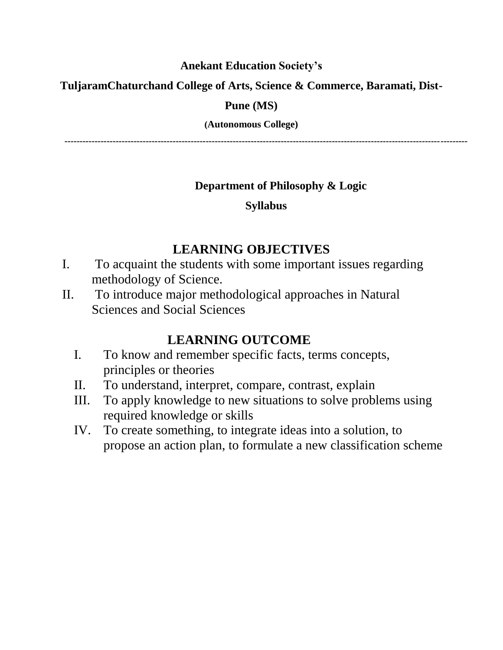## **Anekant Education Society's**

## **TuljaramChaturchand College of Arts, Science & Commerce, Baramati, Dist-**

## **Pune (MS)**

### **(Autonomous College)**

**--------------------------------------------------------------------------------------------------------------------------------------**

## **Department of Philosophy & Logic**

## **Syllabus**

# **LEARNING OBJECTIVES**

- I. To acquaint the students with some important issues regarding methodology of Science.
- II. To introduce major methodological approaches in Natural Sciences and Social Sciences

# **LEARNING OUTCOME**

- I. To know and remember specific facts, terms concepts, principles or theories
- II. To understand, interpret, compare, contrast, explain
- III. To apply knowledge to new situations to solve problems using required knowledge or skills
- IV. To create something, to integrate ideas into a solution, to propose an action plan, to formulate a new classification scheme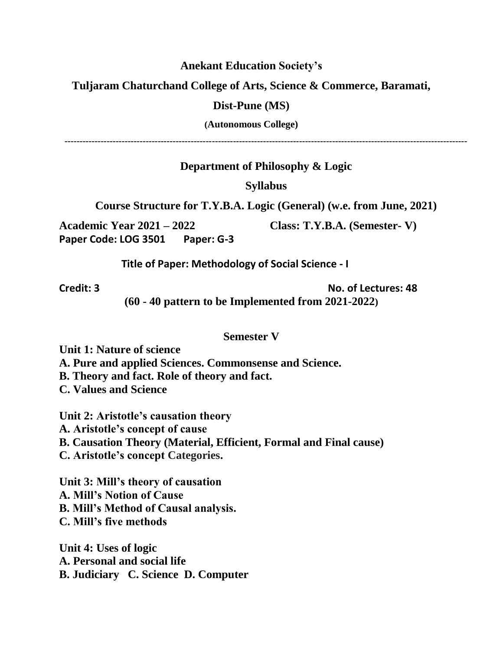#### **Anekant Education Society's**

**Tuljaram Chaturchand College of Arts, Science & Commerce, Baramati,** 

#### **Dist-Pune (MS)**

**(Autonomous College)**

**--------------------------------------------------------------------------------------------------------------------------------------**

**Department of Philosophy & Logic**

### **Syllabus**

**Course Structure for T.Y.B.A. Logic (General) (w.e. from June, 2021)**

**Academic Year 2021 – 2022 Class: T.Y.B.A. (Semester- V) Paper Code: LOG 3501 Paper: G-3** 

 **Title of Paper: Methodology of Social Science - I**

**Credit: 3 No. of Lectures: 48**

**(60 - 40 pattern to be Implemented from 2021-2022)**

### **Semester V**

**Unit 1: Nature of science**

**A. Pure and applied Sciences. Commonsense and Science.**

**B. Theory and fact. Role of theory and fact.**

**C. Values and Science**

**Unit 2: Aristotle's causation theory A. Aristotle's concept of cause B. Causation Theory (Material, Efficient, Formal and Final cause) C. Aristotle's concept Categories.**

**Unit 3: Mill's theory of causation A. Mill's Notion of Cause B. Mill's Method of Causal analysis. C. Mill's five methods**

**Unit 4: Uses of logic A. Personal and social life B. Judiciary C. Science D. Computer**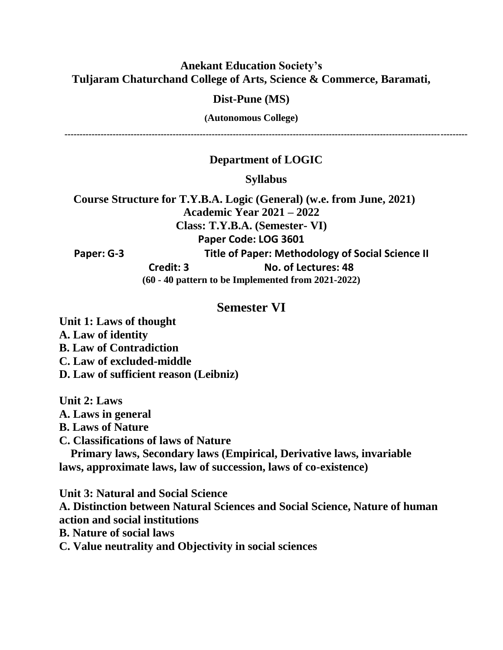### **Anekant Education Society's Tuljaram Chaturchand College of Arts, Science & Commerce, Baramati,**

#### **Dist-Pune (MS)**

**(Autonomous College)**

**--------------------------------------------------------------------------------------------------------------------------------------**

### **Department of LOGIC**

**Syllabus**

 **Course Structure for T.Y.B.A. Logic (General) (w.e. from June, 2021) Academic Year 2021 – 2022 Class: T.Y.B.A. (Semester- VI) Paper Code: LOG 3601 Paper: G-3 Title of Paper: Methodology of Social Science II Credit: 3 No. of Lectures: 48 (60 - 40 pattern to be Implemented from 2021-2022)**

#### **Semester VI**

**Unit 1: Laws of thought A. Law of identity B. Law of Contradiction C. Law of excluded-middle D. Law of sufficient reason (Leibniz)**

**Unit 2: Laws**

**A. Laws in general**

**B. Laws of Nature**

**C. Classifications of laws of Nature**

 **Primary laws, Secondary laws (Empirical, Derivative laws, invariable laws, approximate laws, law of succession, laws of co-existence)**

**Unit 3: Natural and Social Science A. Distinction between Natural Sciences and Social Science, Nature of human action and social institutions B. Nature of social laws**

**C. Value neutrality and Objectivity in social sciences**